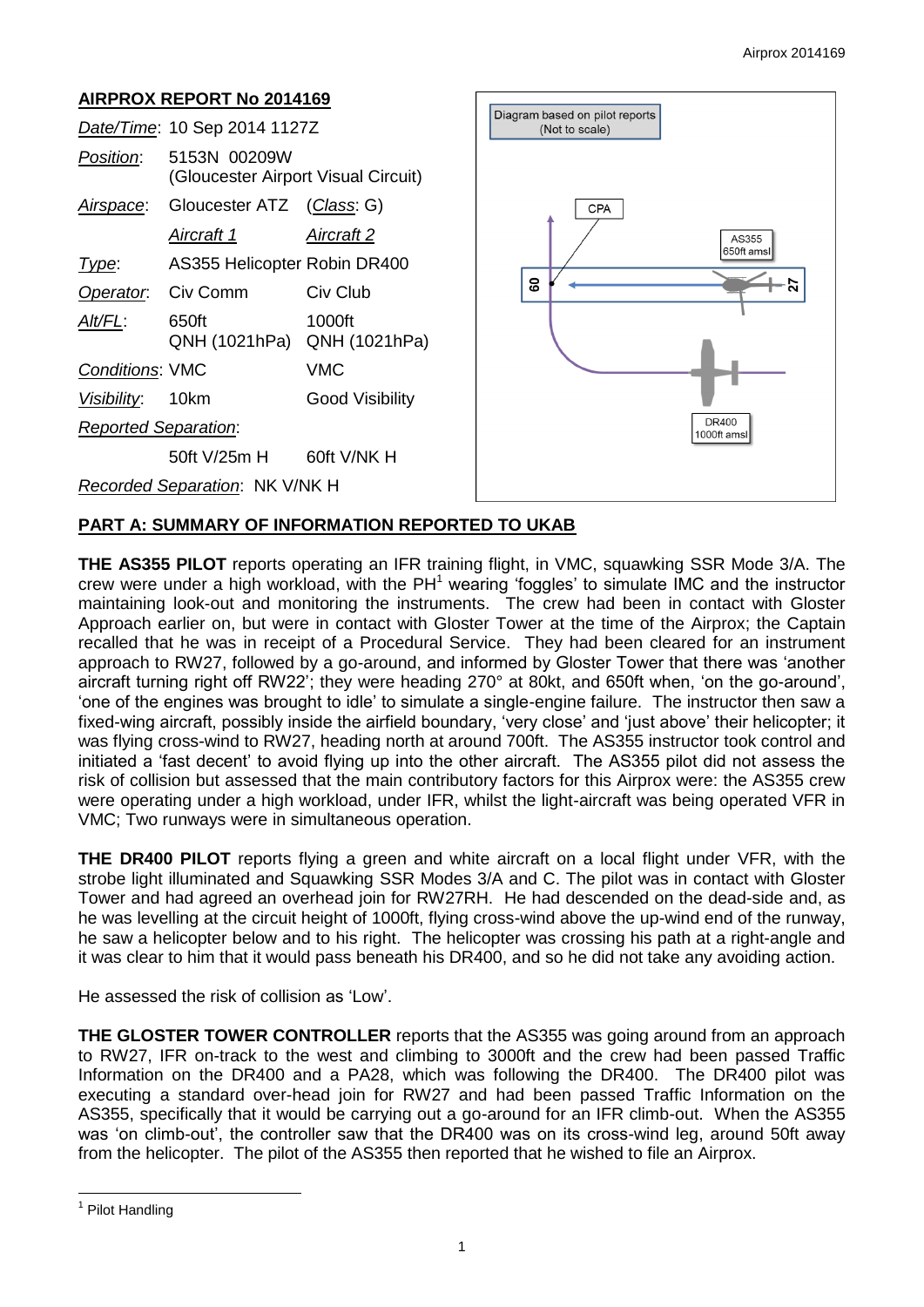# **AIRPROX REPORT No 2014169**

|                                | Date/Time: 10 Sep 2014 1127Z                        |                        |
|--------------------------------|-----------------------------------------------------|------------------------|
| <i>Position</i> :              | 5153N 00209W<br>(Gloucester Airport Visual Circuit) |                        |
|                                | Airspace: Gloucester ATZ (Class: G)                 |                        |
|                                | Aircraft 1                                          | Aircraft 2             |
| Type:                          | AS355 Helicopter Robin DR400                        |                        |
| Operator. Civ Comm             |                                                     | Civ Club               |
| Alt/FL:                        | 650ft<br>QNH (1021hPa) QNH (1021hPa)                | 1000ft                 |
| <b>Conditions: VMC</b>         |                                                     | VMC                    |
| Visibility: 10km               |                                                     | <b>Good Visibility</b> |
| <b>Reported Separation:</b>    |                                                     |                        |
|                                | 50ft V/25m H                                        | 60ft V/NK H            |
| Recorded Separation: NK V/NK H |                                                     |                        |



## **PART A: SUMMARY OF INFORMATION REPORTED TO UKAB**

**THE AS355 PILOT** reports operating an IFR training flight, in VMC, squawking SSR Mode 3/A. The crew were under a high workload, with the  $PH<sup>1</sup>$  wearing 'foggles' to simulate IMC and the instructor maintaining look-out and monitoring the instruments. The crew had been in contact with Gloster Approach earlier on, but were in contact with Gloster Tower at the time of the Airprox; the Captain recalled that he was in receipt of a Procedural Service. They had been cleared for an instrument approach to RW27, followed by a go-around, and informed by Gloster Tower that there was 'another aircraft turning right off RW22'; they were heading 270° at 80kt, and 650ft when, 'on the go-around', 'one of the engines was brought to idle' to simulate a single-engine failure. The instructor then saw a fixed-wing aircraft, possibly inside the airfield boundary, 'very close' and 'just above' their helicopter; it was flying cross-wind to RW27, heading north at around 700ft. The AS355 instructor took control and initiated a 'fast decent' to avoid flying up into the other aircraft. The AS355 pilot did not assess the risk of collision but assessed that the main contributory factors for this Airprox were: the AS355 crew were operating under a high workload, under IFR, whilst the light-aircraft was being operated VFR in VMC; Two runways were in simultaneous operation.

**THE DR400 PILOT** reports flying a green and white aircraft on a local flight under VFR, with the strobe light illuminated and Squawking SSR Modes 3/A and C. The pilot was in contact with Gloster Tower and had agreed an overhead join for RW27RH. He had descended on the dead-side and, as he was levelling at the circuit height of 1000ft, flying cross-wind above the up-wind end of the runway, he saw a helicopter below and to his right. The helicopter was crossing his path at a right-angle and it was clear to him that it would pass beneath his DR400, and so he did not take any avoiding action.

He assessed the risk of collision as 'Low'.

**THE GLOSTER TOWER CONTROLLER** reports that the AS355 was going around from an approach to RW27, IFR on-track to the west and climbing to 3000ft and the crew had been passed Traffic Information on the DR400 and a PA28, which was following the DR400. The DR400 pilot was executing a standard over-head join for RW27 and had been passed Traffic Information on the AS355, specifically that it would be carrying out a go-around for an IFR climb-out. When the AS355 was 'on climb-out', the controller saw that the DR400 was on its cross-wind leg, around 50ft away from the helicopter. The pilot of the AS355 then reported that he wished to file an Airprox.

 $\overline{a}$ 

<sup>&</sup>lt;sup>1</sup> Pilot Handling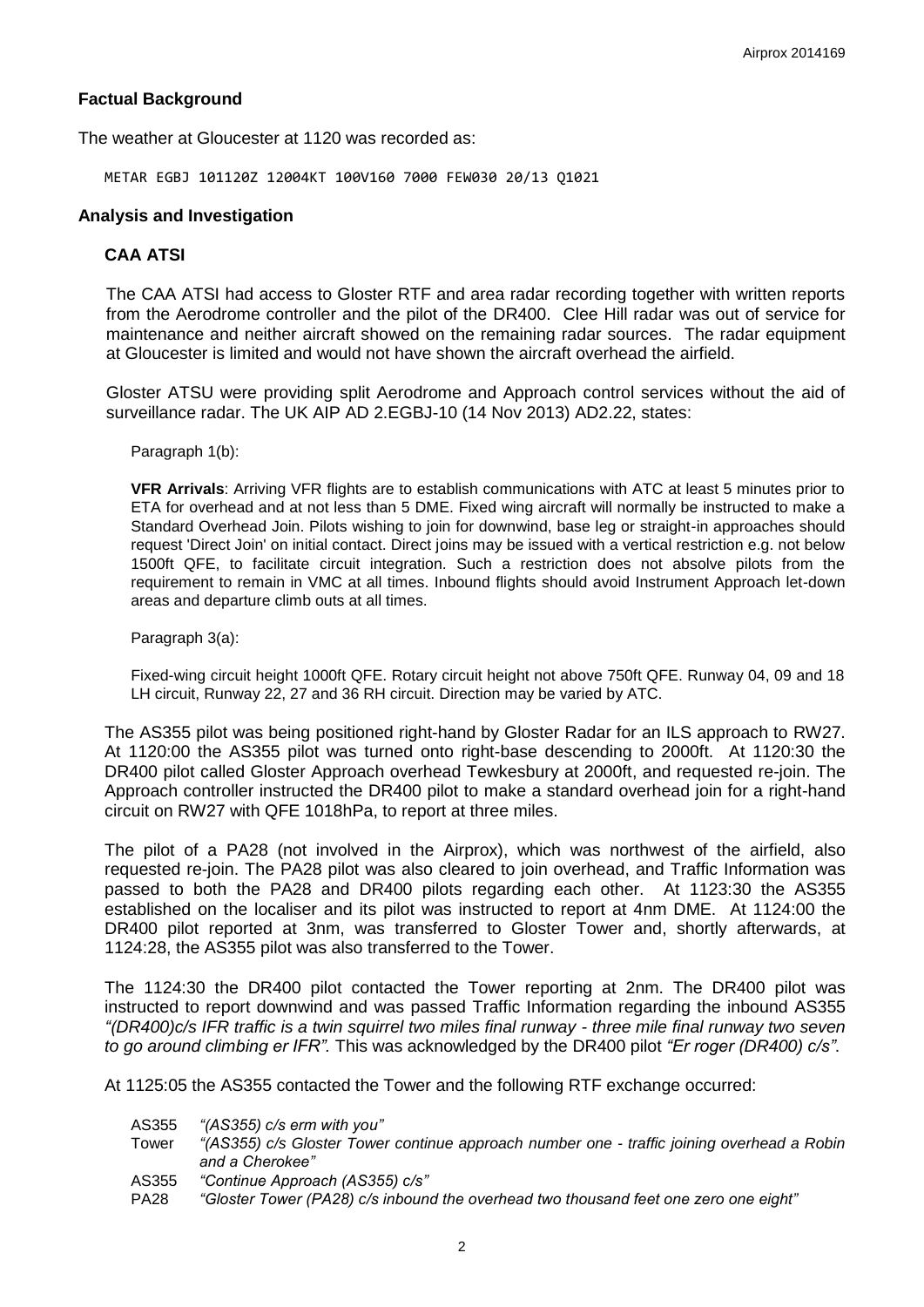### **Factual Background**

The weather at Gloucester at 1120 was recorded as:

METAR EGBJ 101120Z 12004KT 100V160 7000 FEW030 20/13 Q1021

### **Analysis and Investigation**

### **CAA ATSI**

The CAA ATSI had access to Gloster RTF and area radar recording together with written reports from the Aerodrome controller and the pilot of the DR400. Clee Hill radar was out of service for maintenance and neither aircraft showed on the remaining radar sources. The radar equipment at Gloucester is limited and would not have shown the aircraft overhead the airfield.

Gloster ATSU were providing split Aerodrome and Approach control services without the aid of surveillance radar. The UK AIP AD 2.EGBJ-10 (14 Nov 2013) AD2.22, states:

Paragraph 1(b):

**VFR Arrivals**: Arriving VFR flights are to establish communications with ATC at least 5 minutes prior to ETA for overhead and at not less than 5 DME. Fixed wing aircraft will normally be instructed to make a Standard Overhead Join. Pilots wishing to join for downwind, base leg or straight-in approaches should request 'Direct Join' on initial contact. Direct joins may be issued with a vertical restriction e.g. not below 1500ft QFE, to facilitate circuit integration. Such a restriction does not absolve pilots from the requirement to remain in VMC at all times. Inbound flights should avoid Instrument Approach let-down areas and departure climb outs at all times.

Paragraph 3(a):

Fixed-wing circuit height 1000ft QFE. Rotary circuit height not above 750ft QFE. Runway 04, 09 and 18 LH circuit, Runway 22, 27 and 36 RH circuit. Direction may be varied by ATC.

The AS355 pilot was being positioned right-hand by Gloster Radar for an ILS approach to RW27. At 1120:00 the AS355 pilot was turned onto right-base descending to 2000ft. At 1120:30 the DR400 pilot called Gloster Approach overhead Tewkesbury at 2000ft, and requested re-join. The Approach controller instructed the DR400 pilot to make a standard overhead join for a right-hand circuit on RW27 with QFE 1018hPa, to report at three miles.

The pilot of a PA28 (not involved in the Airprox), which was northwest of the airfield, also requested re-join. The PA28 pilot was also cleared to join overhead, and Traffic Information was passed to both the PA28 and DR400 pilots regarding each other. At 1123:30 the AS355 established on the localiser and its pilot was instructed to report at 4nm DME. At 1124:00 the DR400 pilot reported at 3nm, was transferred to Gloster Tower and, shortly afterwards, at 1124:28, the AS355 pilot was also transferred to the Tower.

The 1124:30 the DR400 pilot contacted the Tower reporting at 2nm. The DR400 pilot was instructed to report downwind and was passed Traffic Information regarding the inbound AS355 *"(DR400)c/s IFR traffic is a twin squirrel two miles final runway - three mile final runway two seven to go around climbing er IFR".* This was acknowledged by the DR400 pilot *"Er roger (DR400) c/s"*.

At 1125:05 the AS355 contacted the Tower and the following RTF exchange occurred:

- AS355 *"(AS355) c/s erm with you"*
- Tower *"(AS355) c/s Gloster Tower continue approach number one traffic joining overhead a Robin and a Cherokee"*
- AS355 *"Continue Approach (AS355) c/s"*
- PA28 *"Gloster Tower (PA28) c/s inbound the overhead two thousand feet one zero one eight"*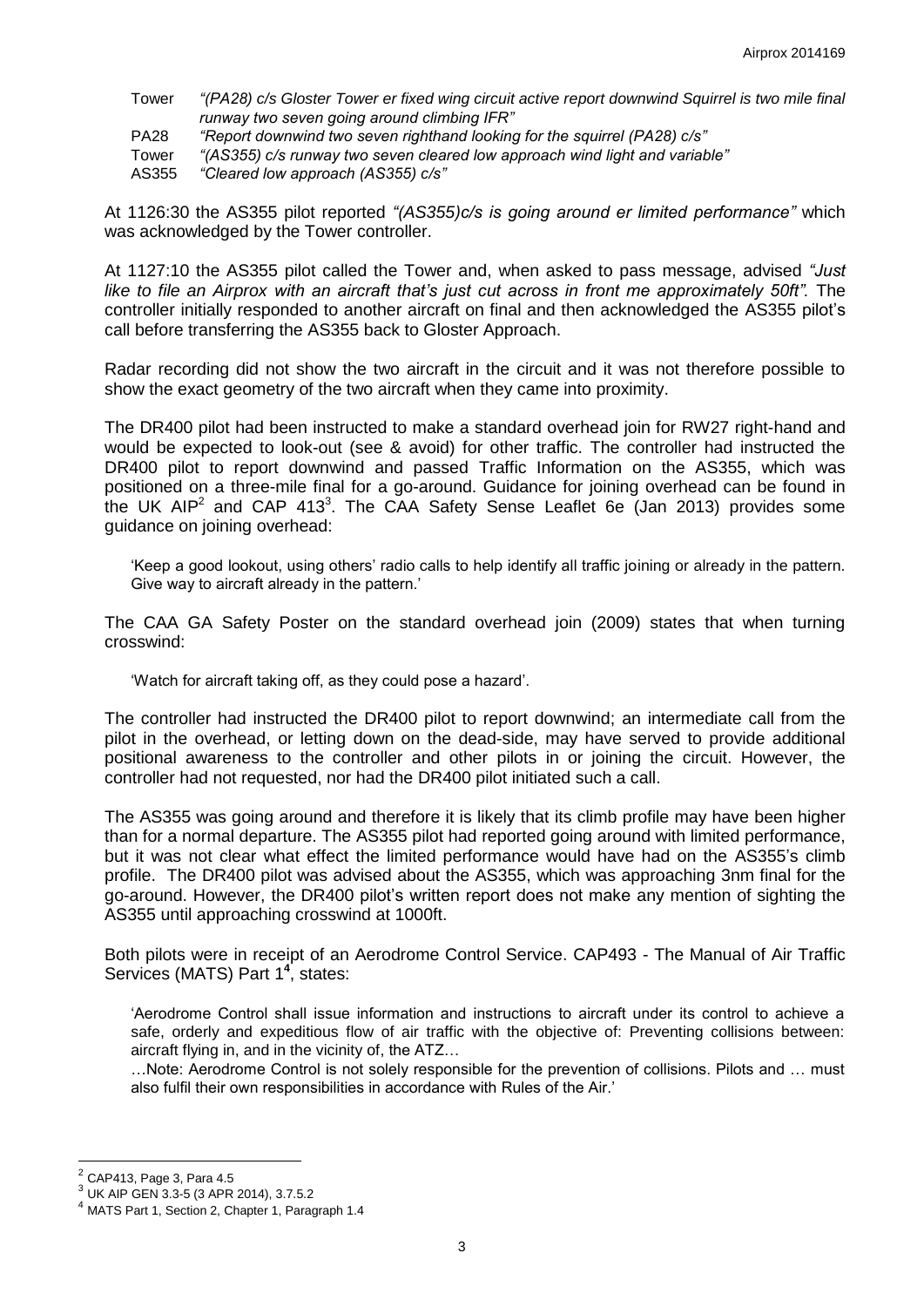Tower *"(PA28) c/s Gloster Tower er fixed wing circuit active report downwind Squirrel is two mile final runway two seven going around climbing IFR"* PA28 *"Report downwind two seven righthand looking for the squirrel (PA28) c/s"* Tower *"(AS355) c/s runway two seven cleared low approach wind light and variable"* AS355 *"Cleared low approach (AS355) c/s"*

At 1126:30 the AS355 pilot reported *"(AS355)c/s is going around er limited performance"* which was acknowledged by the Tower controller.

At 1127:10 the AS355 pilot called the Tower and, when asked to pass message, advised *"Just like to file an Airprox with an aircraft that's just cut across in front me approximately 50ft".* The controller initially responded to another aircraft on final and then acknowledged the AS355 pilot's call before transferring the AS355 back to Gloster Approach.

Radar recording did not show the two aircraft in the circuit and it was not therefore possible to show the exact geometry of the two aircraft when they came into proximity.

The DR400 pilot had been instructed to make a standard overhead join for RW27 right-hand and would be expected to look-out (see & avoid) for other traffic. The controller had instructed the DR400 pilot to report downwind and passed Traffic Information on the AS355, which was positioned on a three-mile final for a go-around. Guidance for joining overhead can be found in the UK AIP<sup>2</sup> and CAP 413<sup>3</sup>. The CAA Safety Sense Leaflet 6e (Jan 2013) provides some guidance on joining overhead:

'Keep a good lookout, using others' radio calls to help identify all traffic joining or already in the pattern. Give way to aircraft already in the pattern.'

The CAA GA Safety Poster on the standard overhead join (2009) states that when turning crosswind:

'Watch for aircraft taking off, as they could pose a hazard'.

The controller had instructed the DR400 pilot to report downwind; an intermediate call from the pilot in the overhead, or letting down on the dead-side, may have served to provide additional positional awareness to the controller and other pilots in or joining the circuit. However, the controller had not requested, nor had the DR400 pilot initiated such a call.

The AS355 was going around and therefore it is likely that its climb profile may have been higher than for a normal departure. The AS355 pilot had reported going around with limited performance, but it was not clear what effect the limited performance would have had on the AS355's climb profile. The DR400 pilot was advised about the AS355, which was approaching 3nm final for the go-around. However, the DR400 pilot's written report does not make any mention of sighting the AS355 until approaching crosswind at 1000ft.

Both pilots were in receipt of an Aerodrome Control Service. CAP493 - The Manual of Air Traffic Services (MATS) Part 1**<sup>4</sup>** , states:

'Aerodrome Control shall issue information and instructions to aircraft under its control to achieve a safe, orderly and expeditious flow of air traffic with the objective of: Preventing collisions between: aircraft flying in, and in the vicinity of, the ATZ…

…Note: Aerodrome Control is not solely responsible for the prevention of collisions. Pilots and … must also fulfil their own responsibilities in accordance with Rules of the Air.'

<u>2</u><br>CAP413, Page 3, Para 4.5<sup>3</sup><br>3 J J K AJR CEN 3.3 5 (3.ARR

UK AIP GEN 3.3-5 (3 APR 2014), 3.7.5.2

<sup>&</sup>lt;sup>4</sup> MATS Part 1, Section 2, Chapter 1, Paragraph 1.4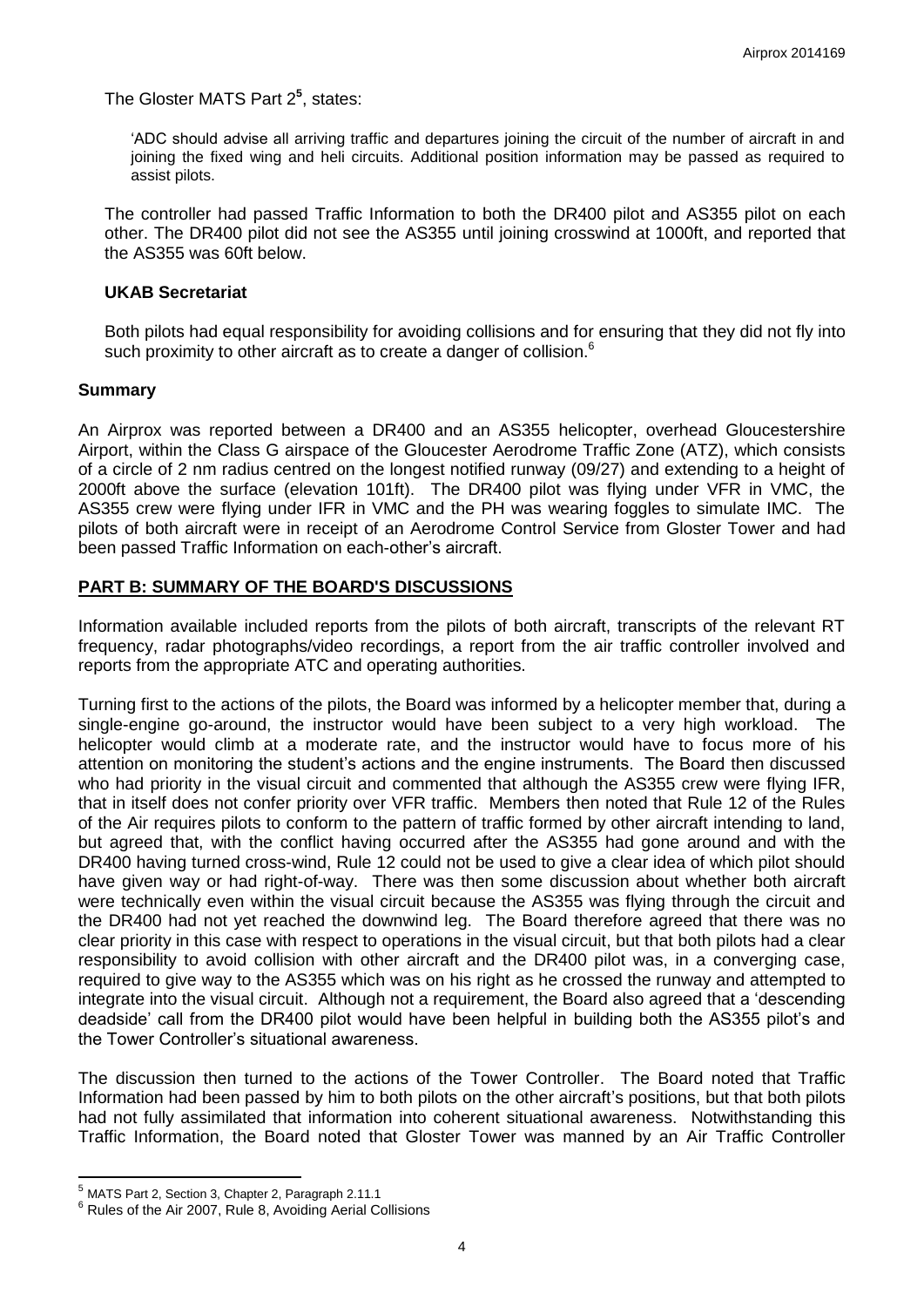The Gloster MATS Part 2**<sup>5</sup>** , states:

'ADC should advise all arriving traffic and departures joining the circuit of the number of aircraft in and joining the fixed wing and heli circuits. Additional position information may be passed as required to assist pilots.

The controller had passed Traffic Information to both the DR400 pilot and AS355 pilot on each other. The DR400 pilot did not see the AS355 until joining crosswind at 1000ft, and reported that the AS355 was 60ft below.

#### **UKAB Secretariat**

Both pilots had equal responsibility for avoiding collisions and for ensuring that they did not fly into such proximity to other aircraft as to create a danger of collision. $6$ 

#### **Summary**

An Airprox was reported between a DR400 and an AS355 helicopter, overhead Gloucestershire Airport, within the Class G airspace of the Gloucester Aerodrome Traffic Zone (ATZ), which consists of a circle of 2 nm radius centred on the longest notified runway (09/27) and extending to a height of 2000ft above the surface (elevation 101ft). The DR400 pilot was flying under VFR in VMC, the AS355 crew were flying under IFR in VMC and the PH was wearing foggles to simulate IMC. The pilots of both aircraft were in receipt of an Aerodrome Control Service from Gloster Tower and had been passed Traffic Information on each-other's aircraft.

### **PART B: SUMMARY OF THE BOARD'S DISCUSSIONS**

Information available included reports from the pilots of both aircraft, transcripts of the relevant RT frequency, radar photographs/video recordings, a report from the air traffic controller involved and reports from the appropriate ATC and operating authorities.

Turning first to the actions of the pilots, the Board was informed by a helicopter member that, during a single-engine go-around, the instructor would have been subject to a very high workload. The helicopter would climb at a moderate rate, and the instructor would have to focus more of his attention on monitoring the student's actions and the engine instruments. The Board then discussed who had priority in the visual circuit and commented that although the AS355 crew were flying IFR. that in itself does not confer priority over VFR traffic. Members then noted that Rule 12 of the Rules of the Air requires pilots to conform to the pattern of traffic formed by other aircraft intending to land, but agreed that, with the conflict having occurred after the AS355 had gone around and with the DR400 having turned cross-wind, Rule 12 could not be used to give a clear idea of which pilot should have given way or had right-of-way. There was then some discussion about whether both aircraft were technically even within the visual circuit because the AS355 was flying through the circuit and the DR400 had not yet reached the downwind leg. The Board therefore agreed that there was no clear priority in this case with respect to operations in the visual circuit, but that both pilots had a clear responsibility to avoid collision with other aircraft and the DR400 pilot was, in a converging case, required to give way to the AS355 which was on his right as he crossed the runway and attempted to integrate into the visual circuit. Although not a requirement, the Board also agreed that a 'descending deadside' call from the DR400 pilot would have been helpful in building both the AS355 pilot's and the Tower Controller's situational awareness.

The discussion then turned to the actions of the Tower Controller. The Board noted that Traffic Information had been passed by him to both pilots on the other aircraft's positions, but that both pilots had not fully assimilated that information into coherent situational awareness. Notwithstanding this Traffic Information, the Board noted that Gloster Tower was manned by an Air Traffic Controller

 $\overline{\phantom{a}}$ 

<sup>5</sup> MATS Part 2, Section 3, Chapter 2, Paragraph 2.11.1

<sup>&</sup>lt;sup>6</sup> Rules of the Air 2007, Rule 8, Avoiding Aerial Collisions